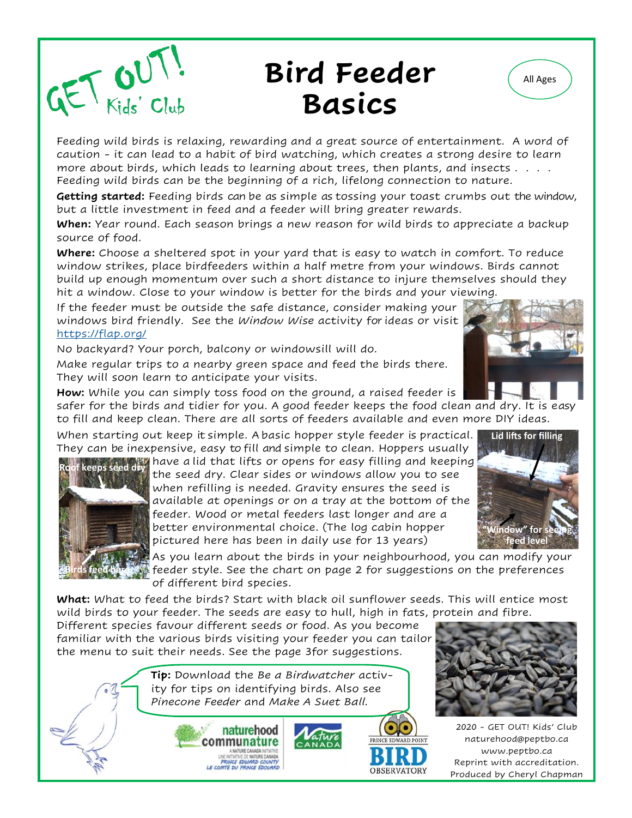<span id="page-0-0"></span>

### **Bird Feeder All Ages Basics**



Feeding wild birds is relaxing, rewarding and a great source of entertainment. A word of caution - it can lead to a habit of bird watching, which creates a strong desire to learn more about birds, which leads to learning about trees, then plants, and insects . . . . Feeding wild birds can be the beginning of a rich, lifelong connection to nature.

**Getting started:** Feeding birds can be as simple as tossing your toast crumbs out the window, but a little investment in feed and a feeder will bring greater rewards.

**When:** Year round. Each season brings a new reason for wild birds to appreciate a backup source of food.

**Where:** Choose a sheltered spot in your yard that is easy to watch in comfort. To reduce window strikes, place birdfeeders within a half metre from your windows. Birds cannot build up enough momentum over such a short distance to injure themselves should they hit a window. Close to your window is better for the birds and your viewing.

If the feeder must be outside the safe distance, consider making your windows bird friendly. See the *Window Wise* activity for ideas or visit [https://flap.org/](#page-0-0)

No backyard? Your porch, balcony or windowsill will do.

Make regular trips to a nearby green space and feed the birds there. They will soon learn to anticipate your visits.

**How:** While you can simply toss food on the ground, a raised feeder is

safer for the birds and tidier for you. A good feeder keeps the food clean and dry. It is easy to fill and keep clean. There are all sorts of feeders available and even more DIY ideas.

When starting out keep it simple. A basic hopper style feeder is practical. They can be inexpensive, easy to fill and simple to clean. Hoppers usually



have a lid that lifts or opens for easy filling and keeping **Roof keeps seed dry** the seed dry. Clear sides or windows allow you to see when refilling is needed. Gravity ensures the seed is available at openings or on a tray at the bottom of the feeder. Wood or metal feeders last longer and are a better environmental choice. (The log cabin hopper pictured here has been in daily use for 13 years)

**Lid lifts for filling " for feed level**

As you learn about the birds in your neighbourhood, you can modify your feeder style. See the chart on page 2 for suggestions on the preferences of different bird species.

**What:** What to feed the birds? Start with black oil sunflower seeds. This will entice most wild birds to your feeder. The seeds are easy to hull, high in fats, protein and fibre.

Different species favour different seeds or food. As you become familiar with the various birds visiting your feeder you can tailor the menu to suit their needs. See the page 3for suggestions.

> **Tip:** Download the *Be a Birdwatcher* activity for tips on identifying birds. Also see *Pinecone Feeder* and *Make A Suet Ball.*







2020 - GET OUT! Kids' Club naturehood@peptbo.ca www.peptbo.ca Reprint with accreditation. Produced by Cheryl Chapman

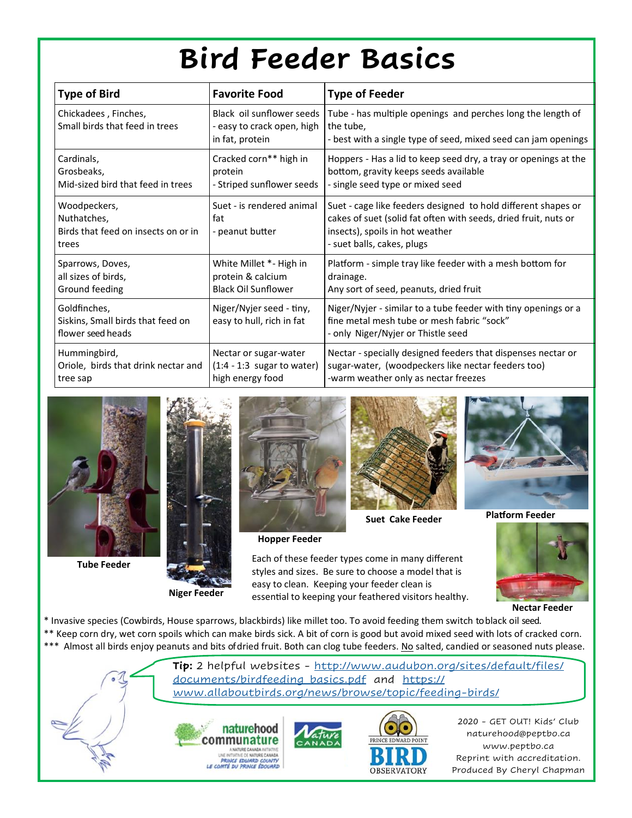## **Bird Feeder Basics**

<span id="page-1-0"></span>

| <b>Type of Bird</b>                                                         | <b>Favorite Food</b>                                                       | <b>Type of Feeder</b>                                                                                                                                                                             |
|-----------------------------------------------------------------------------|----------------------------------------------------------------------------|---------------------------------------------------------------------------------------------------------------------------------------------------------------------------------------------------|
| Chickadees, Finches,<br>Small birds that feed in trees                      | Black oil sunflower seeds<br>- easy to crack open, high<br>in fat, protein | Tube - has multiple openings and perches long the length of<br>the tube,<br>- best with a single type of seed, mixed seed can jam openings                                                        |
| Cardinals,<br>Grosbeaks,<br>Mid-sized bird that feed in trees               | Cracked corn** high in<br>protein<br>- Striped sunflower seeds             | Hoppers - Has a lid to keep seed dry, a tray or openings at the<br>bottom, gravity keeps seeds available<br>- single seed type or mixed seed                                                      |
| Woodpeckers,<br>Nuthatches,<br>Birds that feed on insects on or in<br>trees | Suet - is rendered animal<br>fat<br>- peanut butter                        | Suet - cage like feeders designed to hold different shapes or<br>cakes of suet (solid fat often with seeds, dried fruit, nuts or<br>insects), spoils in hot weather<br>- suet balls, cakes, plugs |
| Sparrows, Doves,<br>all sizes of birds,<br>Ground feeding                   | White Millet *- High in<br>protein & calcium<br><b>Black Oil Sunflower</b> | Platform - simple tray like feeder with a mesh bottom for<br>drainage.<br>Any sort of seed, peanuts, dried fruit                                                                                  |
| Goldfinches,<br>Siskins, Small birds that feed on<br>flower seed heads      | Niger/Nyjer seed - tiny,<br>easy to hull, rich in fat                      | Niger/Nyjer - similar to a tube feeder with tiny openings or a<br>fine metal mesh tube or mesh fabric "sock"<br>- only Niger/Nyjer or Thistle seed                                                |
| Hummingbird,<br>Oriole, birds that drink nectar and<br>tree sap             | Nectar or sugar-water<br>$(1:4 - 1:3$ sugar to water)<br>high energy food  | Nectar - specially designed feeders that dispenses nectar or<br>sugar-water, (woodpeckers like nectar feeders too)<br>-warm weather only as nectar freezes                                        |



**Tube Feeder**



**Niger Feeder**



**Hopper Feeder**



**Suet Cake Feeder**

Each of these feeder types come in many different styles and sizes. Be sure to choose a model that is easy to clean. Keeping your feeder clean is essential to keeping your feathered visitors healthy.



**Platform Feeder**



**Nectar Feeder**

\* Invasive species (Cowbirds, House sparrows, blackbirds) like millet too. To avoid feeding them switch to black oil seed. \*\* Keep corn dry, wet corn spoils which can make birds sick. A bit of corn is good but avoid mixed seed with lots of cracked corn. \*\*\* Almost all birds enjoy peanuts and bits of dried fruit. Both can clog tube feeders. No salted, candied or seasoned nuts please.

> **Tip:** 2 helpful websites - [http://www.audubon.org/sites/default/files/](#page-1-0) [documents/birdfeeding\\_basics.pdf](#page-1-0) and [https://](#page-1-0) [www.allaboutbirds.org/news/browse/topic/feeding](#page-1-0)-birds/





2020 - GET OUT! Kids' Club naturehood@peptbo.ca www.peptbo.ca Reprint with accreditation. Produced By Cheryl Chapman